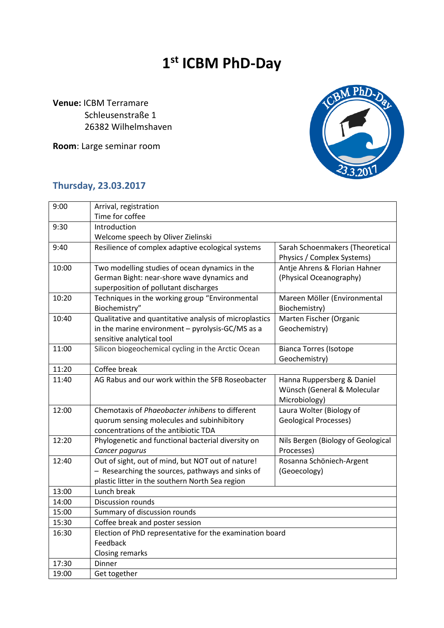## **1 st ICBM PhD-Day**

**Venue:** ICBM Terramare Schleusenstraße 1 26382 Wilhelmshaven

**Room**: Large seminar room



## **Thursday, 23.03.2017**

| 9:00  | Arrival, registration                                    |                                    |  |
|-------|----------------------------------------------------------|------------------------------------|--|
|       | Time for coffee                                          |                                    |  |
| 9:30  | Introduction                                             |                                    |  |
|       | Welcome speech by Oliver Zielinski                       |                                    |  |
| 9:40  | Resilience of complex adaptive ecological systems        | Sarah Schoenmakers (Theoretical    |  |
|       |                                                          | Physics / Complex Systems)         |  |
| 10:00 | Two modelling studies of ocean dynamics in the           | Antje Ahrens & Florian Hahner      |  |
|       | German Bight: near-shore wave dynamics and               | (Physical Oceanography)            |  |
|       | superposition of pollutant discharges                    |                                    |  |
| 10:20 | Techniques in the working group "Environmental           | Mareen Möller (Environmental       |  |
|       | Biochemistry"                                            | Biochemistry)                      |  |
| 10:40 | Qualitative and quantitative analysis of microplastics   | Marten Fischer (Organic            |  |
|       | in the marine environment - pyrolysis-GC/MS as a         | Geochemistry)                      |  |
|       | sensitive analytical tool                                |                                    |  |
| 11:00 | Silicon biogeochemical cycling in the Arctic Ocean       | <b>Bianca Torres (Isotope</b>      |  |
|       |                                                          | Geochemistry)                      |  |
| 11:20 | Coffee break                                             |                                    |  |
| 11:40 | AG Rabus and our work within the SFB Roseobacter         | Hanna Ruppersberg & Daniel         |  |
|       |                                                          | Wünsch (General & Molecular        |  |
|       |                                                          | Microbiology)                      |  |
| 12:00 | Chemotaxis of Phaeobacter inhibens to different          | Laura Wolter (Biology of           |  |
|       | quorum sensing molecules and subinhibitory               | <b>Geological Processes)</b>       |  |
|       | concentrations of the antibiotic TDA                     |                                    |  |
| 12:20 | Phylogenetic and functional bacterial diversity on       | Nils Bergen (Biology of Geological |  |
|       | Cancer pagurus                                           | Processes)                         |  |
| 12:40 | Out of sight, out of mind, but NOT out of nature!        | Rosanna Schöniech-Argent           |  |
|       | - Researching the sources, pathways and sinks of         | (Geoecology)                       |  |
|       | plastic litter in the southern North Sea region          |                                    |  |
| 13:00 | Lunch break                                              |                                    |  |
| 14:00 | <b>Discussion rounds</b>                                 |                                    |  |
| 15:00 | Summary of discussion rounds                             |                                    |  |
| 15:30 | Coffee break and poster session                          |                                    |  |
| 16:30 | Election of PhD representative for the examination board |                                    |  |
|       | Feedback                                                 |                                    |  |
|       | Closing remarks                                          |                                    |  |
| 17:30 | Dinner                                                   |                                    |  |
| 19:00 | Get together                                             |                                    |  |